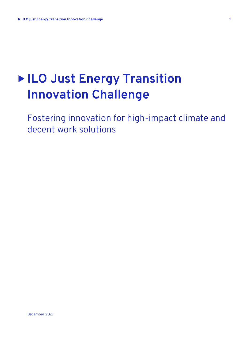# **ILO Just Energy Transition Innovation Challenge**

Fostering innovation for high-impact climate and decent work solutions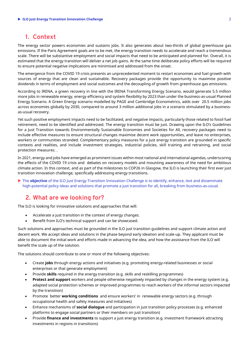## **1. Context**

The energy sector powers economies and sustains jobs. It also generates about two-thirds of global greenhouse gas emissions. If the Paris Agreement goals are to be met, the energy transition needs to accelerate and reach a tremendous scale. There will be substantive employment and social impacts that need to be anticipated and planned for. Overall, it is estimated that the energy transition will deliver a net job gains. At the same time deliberate policy efforts will be required to ensure potential negative implications are minimised and addressed from the onset.

The emergence from the COVID 19 crisis presents an unprecedented moment to restart economies and fuel growth with sources of energy that are clean and sustainable. Recovery packages provide the opportunity to maximise positive dividends in terms of employment and social outcomes and the decoupling of growth from greenhouse gas emissions.

According to IRENA, a green recovery in line with the IRENA Transforming Energy Scenario, would generate 5.5 million more jobs in renewable energy, energy efficiency and system flexibility by 2023 than under the business-as-usual Planned Energy Scenario. A Green Energy scenario modelled by PAGE and Cambridge Econometrics, adds over 20.5 million jobs across economies globally by 2030, compared to around 3 million additional jobs in a scenario stimulated by a businessas-usual recovery.

Yet such positive employment impacts need to be facilitated, and negative impacts, particularly those related to fossil fuel retirement, need to be identified and addressed. The energy transition must be just. Drawing upon the ILO's Guidelines for a Just Transition towards Environmentally Sustainable Economies and Societies for All, recovery packages need to include effective measures to ensure structural changes maximise decent work opportunities, and leave no enterprises, workers or communities stranded. Complementary policy measures for a just energy transition are grounded in specific contexts and realities, and include investment strategies, industrial policies, skill training and retraining, and social protection measures. .

In 2021, energy and jobs have emerged as prominent issues within most national and international agendas, underscoring the effects of the COVID 19 crisis and debates on recovery models and mounting awareness of the need for ambitious climate action. In this context, and as part of the milestones to COP26 in Glasgow, the ILO is launching their first ever just transition innovation challenge, specifically addressing energy transitions.

▶ The **objective** of the ILO Just Energy Transition Innovation Challenge is to identify, enhance, test and disseminate high-potential policy ideas and solutions that promote a just transition for all, breaking from business-as-usual.

## **2. What are we looking for?**

The ILO is looking for innovative solutions and approaches that will:

- Accelerate a just transition in the context of energy changes.
- Benefit from ILO's technical support and can be showcased.

Such solutions and approaches must be grounded in the ILO just transition guidelines and support climate action and decent work. We accept ideas and solutions in the phase beyond early ideation and scale-up. They applicant must be able to document the initial work and efforts made in advancing the idea, and how the assistance from the ILO will benefit the scale up of the solution.

The solutions should contribute to one or more of the following objectives:

- Create **jobs** through energy actions and initiatives (e.g. promoting energy-related businesses or social enterprises or that generate employment)
- Provide **skills** required in the energy transition (e.g. skills and reskilling programmes)
- **Protect and support** workers and people otherwise negatively impacted by changes in the energy system (e.g. adapted social protection schemes or improved programmes to reach workers of the informal sectors impacted by the transition)
- Promote better **working conditions** and ensure workers' in renewable energy sectors (e.g. through occupational health and safety measures and initiatives)
- Enhance mechanisms of **social dialogue** and participation in just transition policy processes (e.g. enhanced platforms to engage social partners or their members on just transition)
- Provide **finance and investments** to support a just energy transition (e.g. investment framework attracting investments in regions in transitions)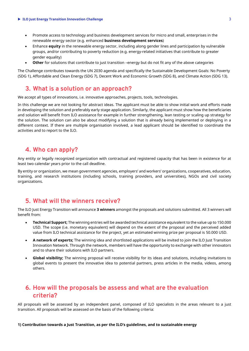- Promote access to technology and business development services for micro and small, enterprises in the renewable energy sector (e.g. enhanced **business development services**)
- Enhance **equity** in the renewable energy sector, including along gender lines and participation by vulnerable groups, and/or contributing to poverty reduction (e.g. energy-related initiatives that contribute to greater gender equality)
- **Other** for solutions that contribute to just transition –energy but do not fit any of the above categories

The Challenge contributes towards the UN 2030 agenda and specifically the Sustainable Development Goals: No Poverty (SDG 1), Affordable and Clean Energy (SDG 7), Decent Work and Economic Growth (SDG 8), and Climate Action (SDG 13).

## **3. What is a solution or an approach?**

We accept all types of innovations, i.e. innovative approaches, projects, tools, technologies.

In this challenge we are not looking for abstract ideas. The applicant must be able to show initial work and efforts made in developing the solution and preferably early stage application. Similarly, the applicant must show how the beneficiaries and solution will benefit from ILO assistance for example in further strengthening, lean testing or scaling up strategy for the solution. The solution can also be about modifying a solution that is already being implemented or deploying in a different context. If there are multiple organisation involved, a lead applicant should be identified to coordinate the activities and to report to the ILO.

## **4. Who can apply?**

Any entity or legally recognized organization with contractual and registered capacity that has been in existence for at least two calendar years prior to the call deadline.

By entity or organization, we mean government agencies, employers' and workers' organizations, cooperatives, education, training, and research institutions (including schools, training providers, and universities), NGOs and civil society organizations.

## **5. What will the winners receive?**

The ILO Just Energy Transition will announce **3 winners** amongst the proposals and solutions submitted. All 3 winners will benefit from:

- **Technical Support;** The winning entries will be awarded technical assistance equivalent to the value up to 150.000 USD. The scope (i.e. monetary equivalent) will depend on the extent of the proposal and the perceived added value from ILO technical assistance for the project, yet an estimated winning prize per proposal is 50.000 USD.
- **A network of experts;** The winning idea and shortlisted applications will be invited to join the ILO Just Transition Innovation Network. Through the network, members will have the opportunity to exchange with other innovators and to share their solutions with ILO partners.
- **Global visibility;** The winning proposal will receive visibility for its ideas and solutions, including invitations to global events to present the innovative idea to potential partners, press articles in the media, videos, among others.

## **6. How will the proposals be assess and what are the evaluation criteria?**

All proposals will be assessed by an independent panel, composed of ILO specialists in the areas relevant to a just transition. All proposals will be assessed on the basis of the following criteria:

#### **1) Contribution towards a Just Transition, as per the ILO's guidelines, and to sustainable energy**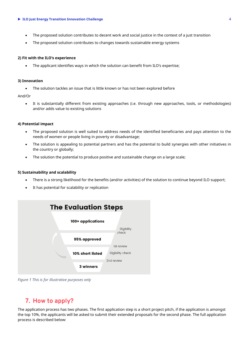- The proposed solution contributes to decent work and social justice in the context of a just transition
- The proposed solution contributes to changes towards sustainable energy systems

#### **2) Fit with the ILO's experience**

• The applicant identifies ways in which the solution can benefit from ILO's expertise;

#### **3) Innovation**

• The solution tackles an issue that is little known or has not been explored before

#### And/Or

• It is substantially different from existing approaches (i.e. through new approaches, tools, or methodologies) and/or adds value to existing solutions

#### **4) Potential impact**

- The proposed solution is well suited to address needs of the identified beneficiaries and pays attention to the needs of women or people living in poverty or disadvantage;
- The solution is appealing to potential partners and has the potential to build synergies with other initiatives in the country or globally;
- The solution the potential to produce positive and sustainable change on a large scale;

#### **5) Sustainability and scalability**

- There is a strong likelihood for the benefits (and/or activities) of the solution to continue beyond ILO support;
- It has potential for scalability or replication



*Figure 1 This is for illustrative purposes only*

## **7. How to apply?**

The application process has two phases. The first application step is a short project pitch, if the application is amongst the top 10%, the applicants will be asked to submit their extended proposals for the second phase. The full application process is described below: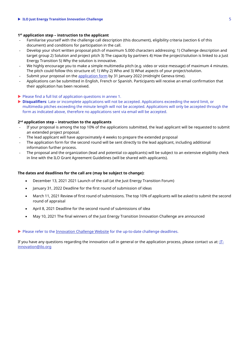#### **1 st application step – instruction to the applicant**

- Familiarise yourself with the challenge call description (this document), eligibility criteria (section 6 of this document) and conditions for participation in the call.
- Develop your short written proposal pitch of maximum 5.000 characters addressing; 1) Challenge description and target group 2) Solution and project pitch 3) The capacity by partners 4) How the project/solution is linked to a Just Energy Transition 5) Why the solution is innovative.
- We highly encourage you to make a simple multimedia pitch (e.g. video or voice message) of maximum 4 minutes. The pitch could follow this structure of; 1) Why 2) Who and 3) What aspects of your project/solution.
- Submit your proposal on the [application](https://www.surveymonkey.com/r/S2YHLRB) form by 31 January 2022 (midnight Geneva time).
- Applications can be submitted in English, French or Spanish. Participants will receive an email confirmation that their application has been received.
- $\blacktriangleright$  Please find a full list of application questions in annex 1.
- **Disqualifiers**: Late or incomplete applications will not be accepted. Applications exceeding the word limit, or multimedia pitches exceeding the minute length will not be accepted. Applications will only be accepted through the form as indicated above, therefore no applications sent via email will be accepted.

#### **2 nd application step – instruction to the applicants**

- If your proposal is among the top 10% of the applications submitted, the lead applicant will be requested to submit an extended project proposal.
- The lead applicant will have approximately 4 weeks to prepare the extended proposal
- The application form for the second round will be sent directly to the lead applicant, including additional information further process.
- The proposal and the organization (lead and potential co-applicants) will be subject to an extensive eligibility check in line with the ILO Grant Agreement Guidelines (will be shared with applicants).

#### **The dates and deadlines for the call are (may be subject to change):**

- December 13, 2021 2021 Launch of the call (at the Just Energy Transition Forum)
- January 31, 2022 Deadline for the first round of submission of ideas
- March 11, 2021 Review of first round of submissions. The top 10% of applicants will be asked to submit the second round of appraisal
- April 8, 2021 Deadline for the second round of submissions of idea
- May 10, 2021 The final winners of the Just Energy Transition Innovation Challenge are announced

#### Please refer to the [Innovation](https://www.climateaction4jobs.org/innovation-challenge/) Challenge Website for the up-to-date challenge deadlines.

If you have any questions regarding the innovation call in general or the application process, please contact us at:  $J<sup>T</sup>$ [innovation@ilo.org](mailto:JT-innovation@ilo.org)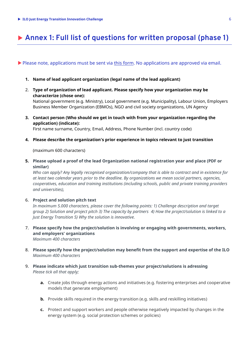## **Annex 1: Full list of questions for written proposal (phase 1)**

## Please note, applications must be sent via this [form.](https://www.surveymonkey.com/r/S2YHLRB) No applications are approved via email.

- **1. Name of lead applicant organization (legal name of the lead applicant)**
- 2. **Type of organization of lead applicant. Please specify how your organization may be characterize (chose one):**

National government (e.g. Ministry), Local government (e.g. Municipality), Labour Union, Employers Business Member Organization (EBMOs), NGO and civil society organizations, UN Agency

**3. Contact person (Who should we get in touch with from your organization regarding the application) (indicate):** First name surname, Country, Email, Address, Phone Number (incl. country code)

**4. Please describe the organization's prior experience in topics relevant to just transition**

(maximum 600 characters)

**5. Please upload a proof of the lead Organization national registration year and place (PDF or similar)**

*Who can apply? Any legally recognised organization/company that is able to contract and in existence for at least two calendar years prior to the deadline. By organizations we mean social partners, agencies, cooperatives, education and training institutions (including schools, public and private training providers and universities),*

### 6. **Project and solution pitch text**

*In maximum 5.000 characters, please cover the following points: 1) Challenge description and target group 2) Solution and project pitch 3) The capacity by partners 4) How the project/solution is linked to a Just Energy Transition 5) Why the solution is innovative.*

- 7. **Please specify how the project/solution is involving or engaging with governments, workers, and employers' organizations** *Maximum 400 characters*
- 8. **Please specify how the project/solution may benefit from the support and expertise of the ILO** *Maximum 400 characters*
- 9. **Please indicate which just transition sub-themes your project/solutions is adressing** *Please tick all that apply;*
	- **a.** Create jobs through energy actions and initiatives (e.g. fostering enterprises and cooperative models that generate employment)
	- **b.** Provide skills required in the energy transition (e.g. skills and reskilling initiatives)
	- **c.** Protect and support workers and people otherwise negatively impacted by changes in the energy system (e.g. social protection schemes or policies)